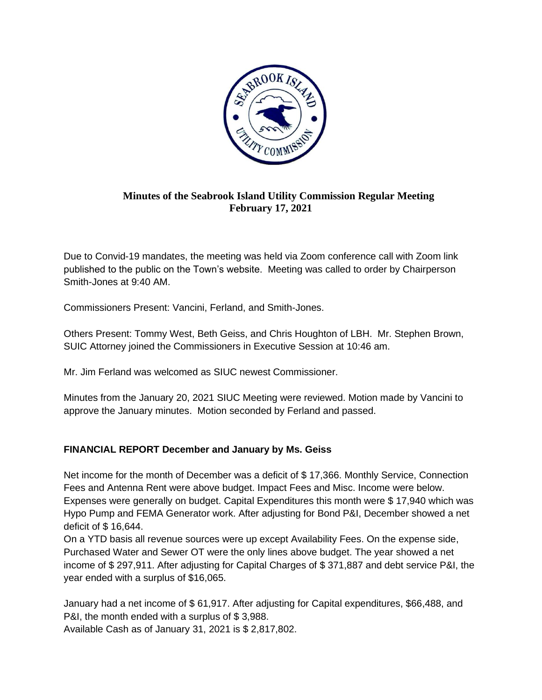

## **Minutes of the Seabrook Island Utility Commission Regular Meeting February 17, 2021**

Due to Convid-19 mandates, the meeting was held via Zoom conference call with Zoom link published to the public on the Town's website. Meeting was called to order by Chairperson Smith-Jones at 9:40 AM.

Commissioners Present: Vancini, Ferland, and Smith-Jones.

Others Present: Tommy West, Beth Geiss, and Chris Houghton of LBH. Mr. Stephen Brown, SUIC Attorney joined the Commissioners in Executive Session at 10:46 am.

Mr. Jim Ferland was welcomed as SIUC newest Commissioner.

Minutes from the January 20, 2021 SIUC Meeting were reviewed. Motion made by Vancini to approve the January minutes. Motion seconded by Ferland and passed.

## **FINANCIAL REPORT December and January by Ms. Geiss**

Net income for the month of December was a deficit of \$ 17,366. Monthly Service, Connection Fees and Antenna Rent were above budget. Impact Fees and Misc. Income were below. Expenses were generally on budget. Capital Expenditures this month were \$ 17,940 which was Hypo Pump and FEMA Generator work. After adjusting for Bond P&I, December showed a net deficit of \$ 16,644.

On a YTD basis all revenue sources were up except Availability Fees. On the expense side, Purchased Water and Sewer OT were the only lines above budget. The year showed a net income of \$ 297,911. After adjusting for Capital Charges of \$ 371,887 and debt service P&I, the year ended with a surplus of \$16,065.

January had a net income of \$ 61,917. After adjusting for Capital expenditures, \$66,488, and P&I, the month ended with a surplus of \$ 3,988.

Available Cash as of January 31, 2021 is \$ 2,817,802.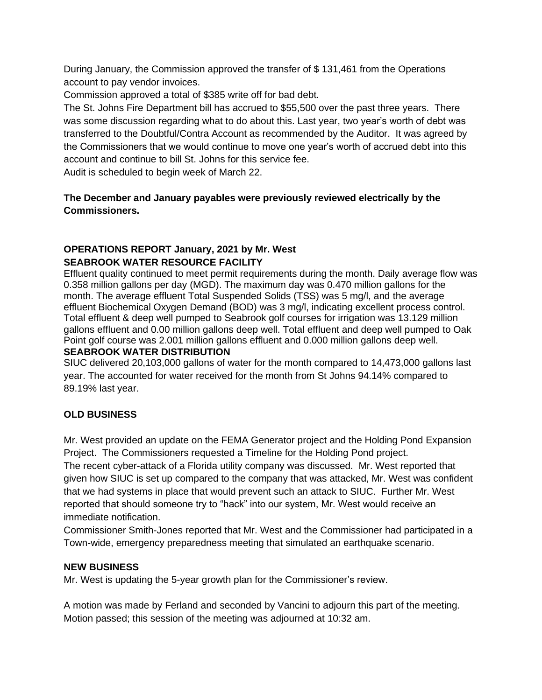During January, the Commission approved the transfer of \$ 131,461 from the Operations account to pay vendor invoices.

Commission approved a total of \$385 write off for bad debt.

The St. Johns Fire Department bill has accrued to \$55,500 over the past three years. There was some discussion regarding what to do about this. Last year, two year's worth of debt was transferred to the Doubtful/Contra Account as recommended by the Auditor. It was agreed by the Commissioners that we would continue to move one year's worth of accrued debt into this account and continue to bill St. Johns for this service fee.

Audit is scheduled to begin week of March 22.

## **The December and January payables were previously reviewed electrically by the Commissioners.**

# **OPERATIONS REPORT January, 2021 by Mr. West SEABROOK WATER RESOURCE FACILITY**

Effluent quality continued to meet permit requirements during the month. Daily average flow was 0.358 million gallons per day (MGD). The maximum day was 0.470 million gallons for the month. The average effluent Total Suspended Solids (TSS) was 5 mg/l, and the average effluent Biochemical Oxygen Demand (BOD) was 3 mg/l, indicating excellent process control. Total effluent & deep well pumped to Seabrook golf courses for irrigation was 13.129 million gallons effluent and 0.00 million gallons deep well. Total effluent and deep well pumped to Oak Point golf course was 2.001 million gallons effluent and 0.000 million gallons deep well. **SEABROOK WATER DISTRIBUTION** 

SIUC delivered 20,103,000 gallons of water for the month compared to 14,473,000 gallons last year. The accounted for water received for the month from St Johns 94.14% compared to 89.19% last year.

## **OLD BUSINESS**

Mr. West provided an update on the FEMA Generator project and the Holding Pond Expansion Project. The Commissioners requested a Timeline for the Holding Pond project.

The recent cyber-attack of a Florida utility company was discussed. Mr. West reported that given how SIUC is set up compared to the company that was attacked, Mr. West was confident that we had systems in place that would prevent such an attack to SIUC. Further Mr. West reported that should someone try to "hack" into our system, Mr. West would receive an immediate notification.

Commissioner Smith-Jones reported that Mr. West and the Commissioner had participated in a Town-wide, emergency preparedness meeting that simulated an earthquake scenario.

## **NEW BUSINESS**

Mr. West is updating the 5-year growth plan for the Commissioner's review.

A motion was made by Ferland and seconded by Vancini to adjourn this part of the meeting. Motion passed; this session of the meeting was adjourned at 10:32 am.